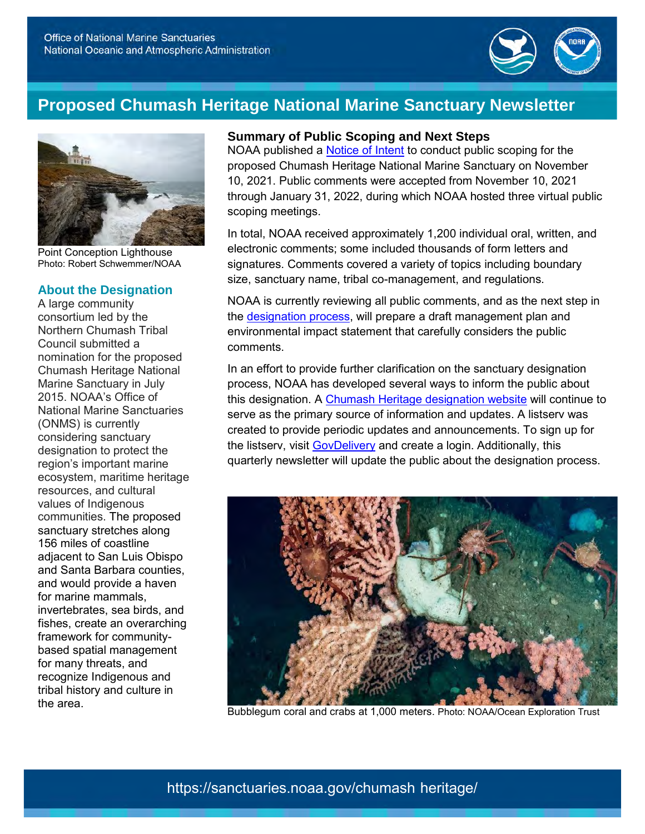

## **Proposed Chumash Heritage National Marine Sanctuary Newsletter**



Point Conception Lighthouse Photo: Robert Schwemmer/NOAA

### **About the Designation**

 consortium led by the Council submitted a nomination for the proposed 2015. NOAA's Office of considering sanctuary designation to protect the ecosystem, maritime heritage communities. The proposed 156 miles of coastline adjacent to San Luis Obispo and Santa Barbara counties, for marine mammals, invertebrates, sea birds, and fishes, create an overarching based spatial management for many threats, and A large community Northern Chumash Tribal Chumash Heritage National Marine Sanctuary in July National Marine Sanctuaries (ONMS) is currently region's important marine resources, and cultural values of Indigenous sanctuary stretches along and would provide a haven framework for communityrecognize Indigenous and tribal history and culture in the area.

#### **Summary of Public Scoping and Next Steps**

NOAA published a <u>Notice of Intent</u> to conduct public scoping for the proposed Chumash Heritage National Marine Sanctuary on November 10, 2021. Public comments were accepted from November 10, 2021 through January 31, 2022, during which NOAA hosted three virtual public scoping meetings.

 In total, NOAA received approximately 1,200 individual oral, written, and electronic comments; some included thousands of form letters and signatures. Comments covered a variety of topics including boundary size, sanctuary name, tribal co-management, and regulations.

 NOAA is currently reviewing all public comments, and as the next step in the <u>designation process,</u> will prepare a draft management plan and environmental impact statement that carefully considers the public comments.

 In an effort to provide further clarification on the sanctuary designation process, NOAA has developed several ways to inform the public about this designation. A <u>Chumash Heritage designation website</u> will continue to serve as the primary source of information and updates. A listserv was created to provide periodic updates and announcements. To sign up for the listserv, visit **GovDelivery** and create a login. Additionally, this quarterly newsletter will update the public about the designation process.



Bubblegum coral and crabs at 1,000 meters. Photo: NOAA/Ocean Exploration Trust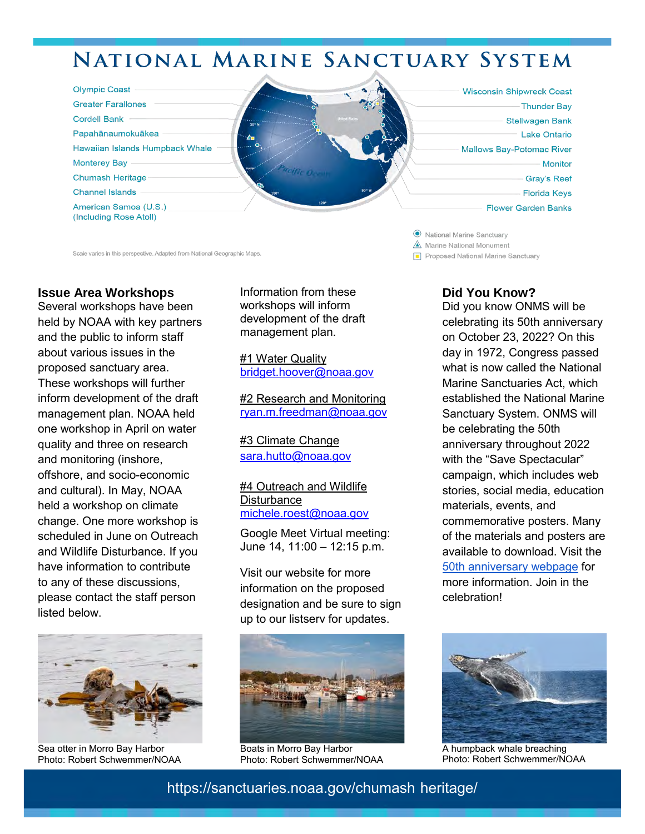# **NATIONAL MARINE SANCTUARY SYSTEM**

| <b>Olympic Coast</b><br><b>Greater Farallones</b><br><b>Cordell Bank</b><br>Papahānaumokuākea<br>Hawaiian Islands Humpback Whale<br><b>Monterey Bay</b><br><b>Chumash Heritage</b><br><b>Channel Islands</b> | $30^\circ$ N<br>$\mathbf{z}$<br><b>STATION</b><br>$150^\circ$<br>120° | <b>United State</b> | <b>Wisconsin Shipwreck Coast</b><br>Thunder Bay<br><b>Stellwagen Bank</b><br><b>Lake Ontario</b><br><b>Mallows Bay-Potomac River</b><br><b>Monitor</b><br><b>Gray's Reef</b><br><b>Florida Keys</b> |
|--------------------------------------------------------------------------------------------------------------------------------------------------------------------------------------------------------------|-----------------------------------------------------------------------|---------------------|-----------------------------------------------------------------------------------------------------------------------------------------------------------------------------------------------------|
| American Samoa (U.S.)<br>(Including Rose Atoll)                                                                                                                                                              |                                                                       |                     | <b>Flower Garden Banks</b>                                                                                                                                                                          |

Scale varies in this perspective. Adapted from National Geographic Maps. **Alterative Containers and Sanctuary and Sanctuary and Sanctuary and Sanctuary <b>P** Proposed National Marine Sanctuary

#### **Issue Area Workshops**

 held by NOAA with key partners and the public to inform staff about various issues in the inform development of the draft management plan. NOAA held one workshop in April on water quality and three on research and monitoring (inshore, and cultural). In May, NOAA held a workshop on climate scheduled in June on Outreach and Wildlife Disturbance. If you have information to contribute to any of these discussions, please contact the staff person Several workshops have been proposed sanctuary area. These workshops will further offshore, and socio-economic change. One more workshop is listed below.



Sea otter in Morro Bay Harbor Photo: Robert Schwemmer/NOAA

 workshops will inform development of the draft management plan. Information from these

#1 Water Quality bridget.hoover@noaa.gov

#2 Research and Monitoring [ryan.m.freedman@noaa.gov](mailto:ryan.m.freedman@noaa.gov) 

#3 Climate Change sara.hutto@noaa.gov

#### #4 Outreach and Wildlife **Disturbance** [michele.roest@noaa.gov](mailto:michele.roest@noaa.gov)

Google Meet Virtual meeting: June 14, 11:00 – 12:15 p.m.

 Visit our website for more information on the proposed designation and be sure to sign up to our listserv for updates.



Boats in Morro Bay Harbor Photo: Robert Schwemmer/NOAA

 $\odot$  National Marine Sanctuary

& **Marine National Monument** 

### **Did You Know?**

 Did you know ONMS will be on October 23, 2022? On this day in 1972, Congress passed what is now called the National Sanctuary System. ONMS will be celebrating the 50th stories, social media, education materials, events, and of the materials and posters are available to download. Visit the more information. Join in the celebrating its 50th anniversary Marine Sanctuaries Act, which established the National Marine anniversary throughout 2022 with the "Save Spectacular" campaign, which includes web commemorative posters. Many [50th anniversary webpage](https://sanctuaries.noaa.gov/50/) for celebration!



A humpback whale breaching Photo: Robert Schwemmer/NOAA

- <https://sanctuaries.noaa.gov/chumash> heritage/